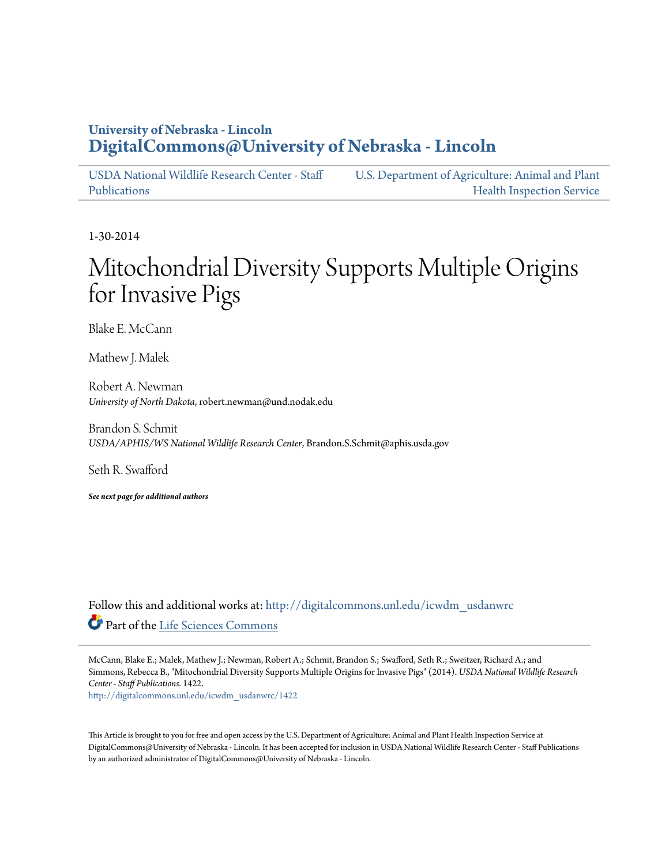## **University of Nebraska - Lincoln [DigitalCommons@University of Nebraska - Lincoln](http://digitalcommons.unl.edu?utm_source=digitalcommons.unl.edu%2Ficwdm_usdanwrc%2F1422&utm_medium=PDF&utm_campaign=PDFCoverPages)**

[USDA National Wildlife Research Center - Staff](http://digitalcommons.unl.edu/icwdm_usdanwrc?utm_source=digitalcommons.unl.edu%2Ficwdm_usdanwrc%2F1422&utm_medium=PDF&utm_campaign=PDFCoverPages) [Publications](http://digitalcommons.unl.edu/icwdm_usdanwrc?utm_source=digitalcommons.unl.edu%2Ficwdm_usdanwrc%2F1422&utm_medium=PDF&utm_campaign=PDFCoverPages) [U.S. Department of Agriculture: Animal and Plant](http://digitalcommons.unl.edu/usdaaphis?utm_source=digitalcommons.unl.edu%2Ficwdm_usdanwrc%2F1422&utm_medium=PDF&utm_campaign=PDFCoverPages) [Health Inspection Service](http://digitalcommons.unl.edu/usdaaphis?utm_source=digitalcommons.unl.edu%2Ficwdm_usdanwrc%2F1422&utm_medium=PDF&utm_campaign=PDFCoverPages)

1-30-2014

# Mitochondrial Diversity Supports Multiple Origins for Invasive Pigs

Blake E. McCann

Mathew J. Malek

Robert A. Newman *University of North Dakota*, robert.newman@und.nodak.edu

Brandon S. Schmit *USDA/APHIS/WS National Wildlife Research Center*, Brandon.S.Schmit@aphis.usda.gov

Seth R. Swafford

*See next page for additional authors*

Follow this and additional works at: [http://digitalcommons.unl.edu/icwdm\\_usdanwrc](http://digitalcommons.unl.edu/icwdm_usdanwrc?utm_source=digitalcommons.unl.edu%2Ficwdm_usdanwrc%2F1422&utm_medium=PDF&utm_campaign=PDFCoverPages) Part of the [Life Sciences Commons](http://network.bepress.com/hgg/discipline/1016?utm_source=digitalcommons.unl.edu%2Ficwdm_usdanwrc%2F1422&utm_medium=PDF&utm_campaign=PDFCoverPages)

McCann, Blake E.; Malek, Mathew J.; Newman, Robert A.; Schmit, Brandon S.; Swafford, Seth R.; Sweitzer, Richard A.; and Simmons, Rebecca B., "Mitochondrial Diversity Supports Multiple Origins for Invasive Pigs" (2014). *USDA National Wildlife Research Center - Staff Publications*. 1422.

[http://digitalcommons.unl.edu/icwdm\\_usdanwrc/1422](http://digitalcommons.unl.edu/icwdm_usdanwrc/1422?utm_source=digitalcommons.unl.edu%2Ficwdm_usdanwrc%2F1422&utm_medium=PDF&utm_campaign=PDFCoverPages)

This Article is brought to you for free and open access by the U.S. Department of Agriculture: Animal and Plant Health Inspection Service at DigitalCommons@University of Nebraska - Lincoln. It has been accepted for inclusion in USDA National Wildlife Research Center - Staff Publications by an authorized administrator of DigitalCommons@University of Nebraska - Lincoln.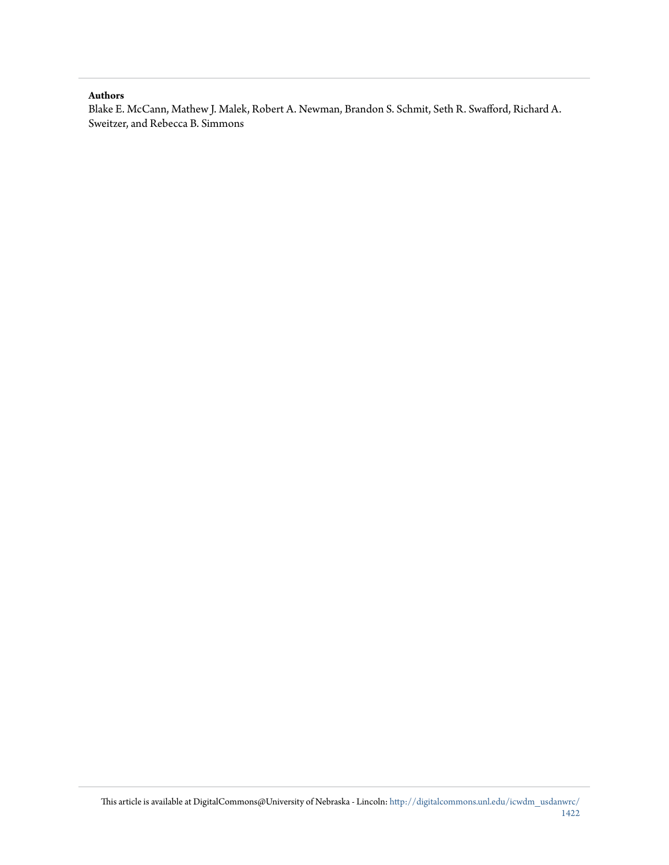#### **Authors**

Blake E. McCann, Mathew J. Malek, Robert A. Newman, Brandon S. Schmit, Seth R. Swafford, Richard A. Sweitzer, and Rebecca B. Simmons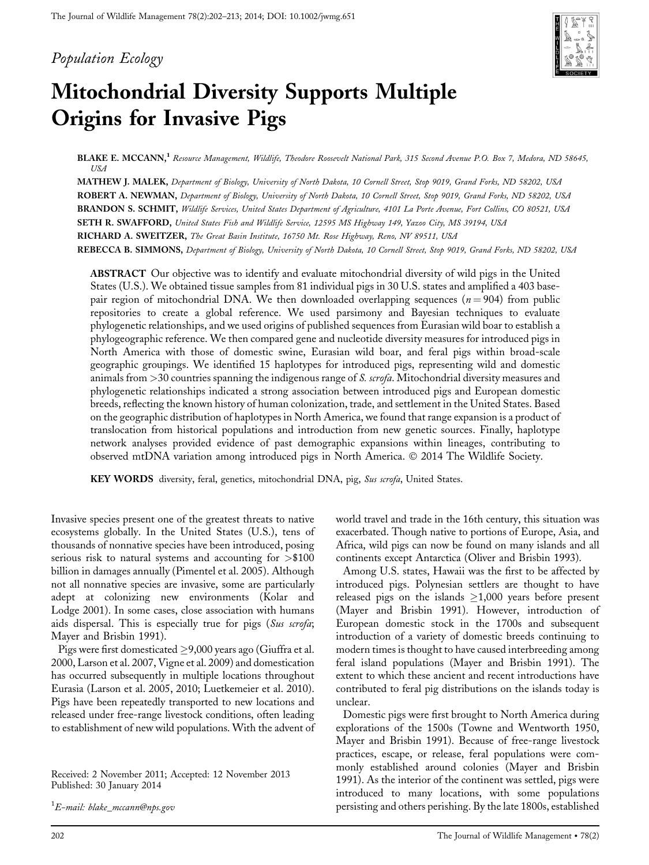## Population Ecology



## Mitochondrial Diversity Supports Multiple Origins for Invasive Pigs

BLAKE E. MCCANN,<sup>1</sup> Resource Management, Wildlife, Theodore Roosevelt National Park, 315 Second Avenue P.O. Box 7, Medora, ND 58645, USA

MATHEW J. MALEK, Department of Biology, University of North Dakota, 10 Cornell Street, Stop 9019, Grand Forks, ND 58202, USA ROBERT A. NEWMAN, Department of Biology, University of North Dakota, 10 Cornell Street, Stop 9019, Grand Forks, ND 58202, USA BRANDON S. SCHMIT, Wildlife Services, United States Department of Agriculture, 4101 La Porte Avenue, Fort Collins, CO 80521, USA SETH R. SWAFFORD, United States Fish and Wildlife Service, 12595 MS Highway 149, Yazoo City, MS 39194, USA RICHARD A. SWEITZER, The Great Basin Institute, 16750 Mt. Rose Highway, Reno, NV 89511, USA REBECCA B. SIMMONS, Department of Biology, University of North Dakota, 10 Cornell Street, Stop 9019, Grand Forks, ND 58202, USA

ABSTRACT Our objective was to identify and evaluate mitochondrial diversity of wild pigs in the United States (U.S.). We obtained tissue samples from 81 individual pigs in 30 U.S. states and amplified a 403 basepair region of mitochondrial DNA. We then downloaded overlapping sequences ( $n = 904$ ) from public repositories to create a global reference. We used parsimony and Bayesian techniques to evaluate phylogenetic relationships, and we used origins of published sequences from Eurasian wild boar to establish a phylogeographic reference. We then compared gene and nucleotide diversity measures for introduced pigs in North America with those of domestic swine, Eurasian wild boar, and feral pigs within broad-scale geographic groupings. We identified 15 haplotypes for introduced pigs, representing wild and domestic animals from  $>$ 30 countries spanning the indigenous range of *S. scrofa*. Mitochondrial diversity measures and phylogenetic relationships indicated a strong association between introduced pigs and European domestic breeds, reflecting the known history of human colonization, trade, and settlement in the United States. Based on the geographic distribution of haplotypes in North America, we found that range expansion is a product of translocation from historical populations and introduction from new genetic sources. Finally, haplotype network analyses provided evidence of past demographic expansions within lineages, contributing to observed mtDNA variation among introduced pigs in North America. © 2014 The Wildlife Society.

KEY WORDS diversity, feral, genetics, mitochondrial DNA, pig, Sus scrofa, United States.

Invasive species present one of the greatest threats to native ecosystems globally. In the United States (U.S.), tens of thousands of nonnative species have been introduced, posing serious risk to natural systems and accounting for >\$100 billion in damages annually (Pimentel et al. 2005). Although not all nonnative species are invasive, some are particularly adept at colonizing new environments (Kolar and Lodge 2001). In some cases, close association with humans aids dispersal. This is especially true for pigs (Sus scrofa; Mayer and Brisbin 1991).

Pigs were first domesticated  $\geq$ 9,000 years ago (Giuffra et al. 2000, Larson et al. 2007, Vigne et al. 2009) and domestication has occurred subsequently in multiple locations throughout Eurasia (Larson et al. 2005, 2010; Luetkemeier et al. 2010). Pigs have been repeatedly transported to new locations and released under free-range livestock conditions, often leading to establishment of new wild populations. With the advent of

Received: 2 November 2011; Accepted: 12 November 2013 Published: 30 January 2014

 $^1E\!\!-\!$ mail: blake\_mccann@nps.gov

world travel and trade in the 16th century, this situation was exacerbated. Though native to portions of Europe, Asia, and Africa, wild pigs can now be found on many islands and all continents except Antarctica (Oliver and Brisbin 1993).

Among U.S. states, Hawaii was the first to be affected by introduced pigs. Polynesian settlers are thought to have released pigs on the islands  $\geq$ 1,000 years before present (Mayer and Brisbin 1991). However, introduction of European domestic stock in the 1700s and subsequent introduction of a variety of domestic breeds continuing to modern times is thought to have caused interbreeding among feral island populations (Mayer and Brisbin 1991). The extent to which these ancient and recent introductions have contributed to feral pig distributions on the islands today is unclear.

Domestic pigs were first brought to North America during explorations of the 1500s (Towne and Wentworth 1950, Mayer and Brisbin 1991). Because of free-range livestock practices, escape, or release, feral populations were commonly established around colonies (Mayer and Brisbin 1991). As the interior of the continent was settled, pigs were introduced to many locations, with some populations persisting and others perishing. By the late 1800s, established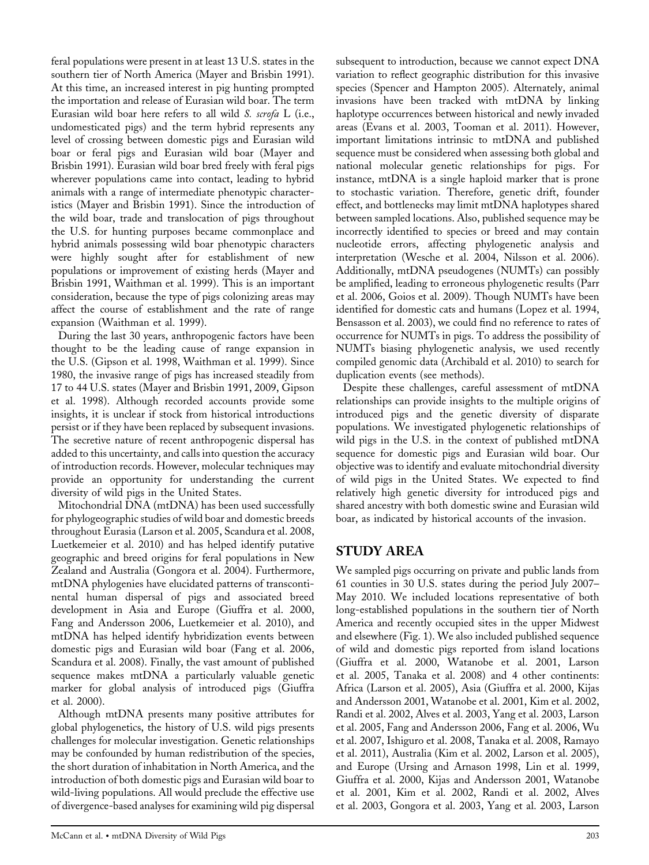feral populations were present in at least 13 U.S. states in the southern tier of North America (Mayer and Brisbin 1991). At this time, an increased interest in pig hunting prompted the importation and release of Eurasian wild boar. The term Eurasian wild boar here refers to all wild S. scrofa L (i.e., undomesticated pigs) and the term hybrid represents any level of crossing between domestic pigs and Eurasian wild boar or feral pigs and Eurasian wild boar (Mayer and Brisbin 1991). Eurasian wild boar bred freely with feral pigs wherever populations came into contact, leading to hybrid animals with a range of intermediate phenotypic characteristics (Mayer and Brisbin 1991). Since the introduction of the wild boar, trade and translocation of pigs throughout the U.S. for hunting purposes became commonplace and hybrid animals possessing wild boar phenotypic characters were highly sought after for establishment of new populations or improvement of existing herds (Mayer and Brisbin 1991, Waithman et al. 1999). This is an important consideration, because the type of pigs colonizing areas may affect the course of establishment and the rate of range expansion (Waithman et al. 1999).

During the last 30 years, anthropogenic factors have been thought to be the leading cause of range expansion in the U.S. (Gipson et al. 1998, Waithman et al. 1999). Since 1980, the invasive range of pigs has increased steadily from 17 to 44 U.S. states (Mayer and Brisbin 1991, 2009, Gipson et al. 1998). Although recorded accounts provide some insights, it is unclear if stock from historical introductions persist or if they have been replaced by subsequent invasions. The secretive nature of recent anthropogenic dispersal has added to this uncertainty, and calls into question the accuracy of introduction records. However, molecular techniques may provide an opportunity for understanding the current diversity of wild pigs in the United States.

Mitochondrial DNA (mtDNA) has been used successfully for phylogeographic studies of wild boar and domestic breeds throughout Eurasia (Larson et al. 2005, Scandura et al. 2008, Luetkemeier et al. 2010) and has helped identify putative geographic and breed origins for feral populations in New Zealand and Australia (Gongora et al. 2004). Furthermore, mtDNA phylogenies have elucidated patterns of transcontinental human dispersal of pigs and associated breed development in Asia and Europe (Giuffra et al. 2000, Fang and Andersson 2006, Luetkemeier et al. 2010), and mtDNA has helped identify hybridization events between domestic pigs and Eurasian wild boar (Fang et al. 2006, Scandura et al. 2008). Finally, the vast amount of published sequence makes mtDNA a particularly valuable genetic marker for global analysis of introduced pigs (Giuffra et al. 2000).

Although mtDNA presents many positive attributes for global phylogenetics, the history of U.S. wild pigs presents challenges for molecular investigation. Genetic relationships may be confounded by human redistribution of the species, the short duration of inhabitation in North America, and the introduction of both domestic pigs and Eurasian wild boar to wild-living populations. All would preclude the effective use of divergence-based analyses for examining wild pig dispersal

subsequent to introduction, because we cannot expect DNA variation to reflect geographic distribution for this invasive species (Spencer and Hampton 2005). Alternately, animal invasions have been tracked with mtDNA by linking haplotype occurrences between historical and newly invaded areas (Evans et al. 2003, Tooman et al. 2011). However, important limitations intrinsic to mtDNA and published sequence must be considered when assessing both global and national molecular genetic relationships for pigs. For instance, mtDNA is a single haploid marker that is prone to stochastic variation. Therefore, genetic drift, founder effect, and bottlenecks may limit mtDNA haplotypes shared between sampled locations. Also, published sequence may be incorrectly identified to species or breed and may contain nucleotide errors, affecting phylogenetic analysis and interpretation (Wesche et al. 2004, Nilsson et al. 2006). Additionally, mtDNA pseudogenes (NUMTs) can possibly be amplified, leading to erroneous phylogenetic results (Parr et al. 2006, Goios et al. 2009). Though NUMTs have been identified for domestic cats and humans (Lopez et al. 1994, Bensasson et al. 2003), we could find no reference to rates of occurrence for NUMTs in pigs. To address the possibility of NUMTs biasing phylogenetic analysis, we used recently compiled genomic data (Archibald et al. 2010) to search for duplication events (see methods).

Despite these challenges, careful assessment of mtDNA relationships can provide insights to the multiple origins of introduced pigs and the genetic diversity of disparate populations. We investigated phylogenetic relationships of wild pigs in the U.S. in the context of published mtDNA sequence for domestic pigs and Eurasian wild boar. Our objective was to identify and evaluate mitochondrial diversity of wild pigs in the United States. We expected to find relatively high genetic diversity for introduced pigs and shared ancestry with both domestic swine and Eurasian wild boar, as indicated by historical accounts of the invasion.

## STUDY AREA

We sampled pigs occurring on private and public lands from 61 counties in 30 U.S. states during the period July 2007– May 2010. We included locations representative of both long-established populations in the southern tier of North America and recently occupied sites in the upper Midwest and elsewhere (Fig. 1). We also included published sequence of wild and domestic pigs reported from island locations (Giuffra et al. 2000, Watanobe et al. 2001, Larson et al. 2005, Tanaka et al. 2008) and 4 other continents: Africa (Larson et al. 2005), Asia (Giuffra et al. 2000, Kijas and Andersson 2001, Watanobe et al. 2001, Kim et al. 2002, Randi et al. 2002, Alves et al. 2003, Yang et al. 2003, Larson et al. 2005, Fang and Andersson 2006, Fang et al. 2006, Wu et al. 2007, Ishiguro et al. 2008, Tanaka et al. 2008, Ramayo et al. 2011), Australia (Kim et al. 2002, Larson et al. 2005), and Europe (Ursing and Arnason 1998, Lin et al. 1999, Giuffra et al. 2000, Kijas and Andersson 2001, Watanobe et al. 2001, Kim et al. 2002, Randi et al. 2002, Alves et al. 2003, Gongora et al. 2003, Yang et al. 2003, Larson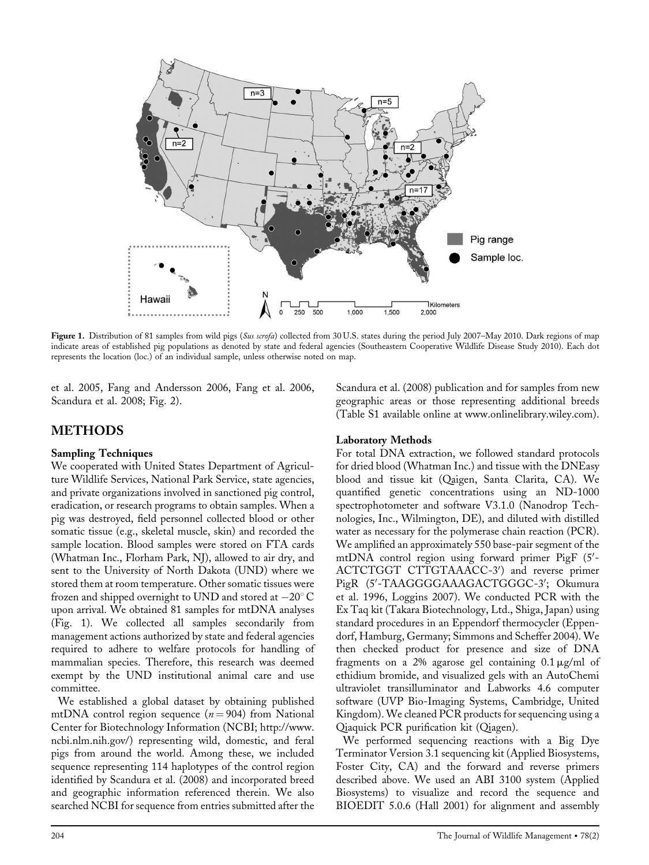

Figure 1. Distribution of 81 samples from wild pigs (Sus scrofa) collected from 30 U.S. states during the period July 2007–May 2010. Dark regions of map indicate areas of established pig populations as denoted by state and federal agencies (Southeastern Cooperative Wildlife Disease Study 2010). Each dot represents the location (loc.) of an individual sample, unless otherwise noted on map.

et al. 2005, Fang and Andersson 2006, Fang et al. 2006, Scandura et al. 2008; Fig. 2).

## METHODS

#### Sampling Techniques

We cooperated with United States Department of Agriculture Wildlife Services, National Park Service, state agencies, and private organizations involved in sanctioned pig control, eradication, or research programs to obtain samples. When a pig was destroyed, field personnel collected blood or other somatic tissue (e.g., skeletal muscle, skin) and recorded the sample location. Blood samples were stored on FTA cards (Whatman Inc., Florham Park, NJ), allowed to air dry, and sent to the University of North Dakota (UND) where we stored them at room temperature. Other somatic tissues were frozen and shipped overnight to UND and stored at  $-20^{\circ}$  C upon arrival. We obtained 81 samples for mtDNA analyses (Fig. 1). We collected all samples secondarily from management actions authorized by state and federal agencies required to adhere to welfare protocols for handling of mammalian species. Therefore, this research was deemed exempt by the UND institutional animal care and use committee.

We established a global dataset by obtaining published mtDNA control region sequence ( $n = 904$ ) from National Center for Biotechnology Information (NCBI; [http://www.](http://www.ncbi.nlm.nih.gov/) [ncbi.nlm.nih.gov/](http://www.ncbi.nlm.nih.gov/)) representing wild, domestic, and feral pigs from around the world. Among these, we included sequence representing 114 haplotypes of the control region identified by Scandura et al. (2008) and incorporated breed and geographic information referenced therein. We also searched NCBI for sequence from entries submitted after the

Scandura et al. (2008) publication and for samples from new geographic areas or those representing additional breeds (Table S1 available online at [www.onlinelibrary.wiley.com\)](http://www.onlinelibrary.wiley.com/).

#### Laboratory Methods

For total DNA extraction, we followed standard protocols for dried blood (Whatman Inc.) and tissue with the DNEasy blood and tissue kit (Qaigen, Santa Clarita, CA). We quantified genetic concentrations using an ND-1000 spectrophotometer and software V3.1.0 (Nanodrop Technologies, Inc., Wilmington, DE), and diluted with distilled water as necessary for the polymerase chain reaction (PCR). We amplified an approximately 550 base-pair segment of the mtDNA control region using forward primer PigF (5'-ACTCTGGT CTTGTAAACC-3') and reverse primer PigR (5'-TAAGGGGAAAGACTGGGC-3'; Okumura et al. 1996, Loggins 2007). We conducted PCR with the Ex Taq kit (Takara Biotechnology, Ltd., Shiga, Japan) using standard procedures in an Eppendorf thermocycler (Eppendorf, Hamburg, Germany; Simmons and Scheffer 2004). We then checked product for presence and size of DNA fragments on a 2% agarose gel containing  $0.1 \mu g/ml$  of ethidium bromide, and visualized gels with an AutoChemi ultraviolet transilluminator and Labworks 4.6 computer software (UVP Bio-Imaging Systems, Cambridge, United Kingdom). We cleaned PCR products for sequencing using a Qiaquick PCR purification kit (Qiagen).

We performed sequencing reactions with a Big Dye Terminator Version 3.1 sequencing kit (Applied Biosystems, Foster City, CA) and the forward and reverse primers described above. We used an ABI 3100 system (Applied Biosystems) to visualize and record the sequence and BIOEDIT 5.0.6 (Hall 2001) for alignment and assembly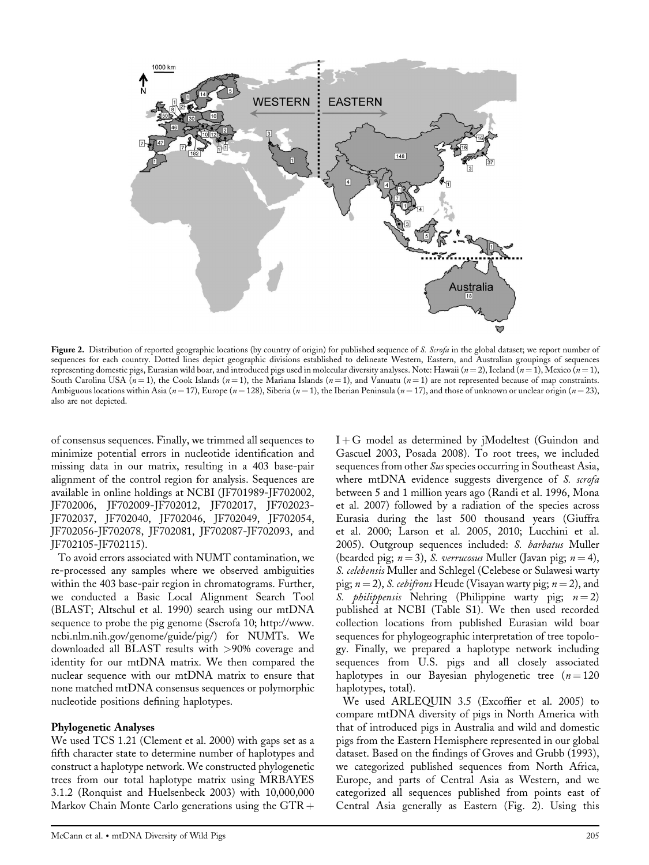

Figure 2. Distribution of reported geographic locations (by country of origin) for published sequence of S. Scrofa in the global dataset; we report number of sequences for each country. Dotted lines depict geographic divisions established to delineate Western, Eastern, and Australian groupings of sequences representing domestic pigs, Eurasian wild boar, and introduced pigs used in molecular diversity analyses. Note: Hawaii  $(n = 2)$ , Iceland  $(n = 1)$ , Mexico  $(n = 1)$ , South Carolina USA  $(n = 1)$ , the Cook Islands  $(n = 1)$ , the Mariana Islands  $(n = 1)$ , and Vanuatu  $(n = 1)$  are not represented because of map constraints. Ambiguous locations within Asia (n = 17), Europe (n = 128), Siberia (n = 1), the Iberian Peninsula (n = 17), and those of unknown or unclear origin (n = 23), also are not depicted.

of consensus sequences. Finally, we trimmed all sequences to minimize potential errors in nucleotide identification and missing data in our matrix, resulting in a 403 base-pair alignment of the control region for analysis. Sequences are available in online holdings at NCBI (JF701989-JF702002, JF702006, JF702009-JF702012, JF702017, JF702023- JF702037, JF702040, JF702046, JF702049, JF702054, JF702056-JF702078, JF702081, JF702087-JF702093, and JF702105-JF702115).

To avoid errors associated with NUMT contamination, we re-processed any samples where we observed ambiguities within the 403 base-pair region in chromatograms. Further, we conducted a Basic Local Alignment Search Tool (BLAST; Altschul et al. 1990) search using our mtDNA sequence to probe the pig genome (Sscrofa 10; [http://www.](http://www.ncbi.nlm.nih.gov/genome/guide/pig/) [ncbi.nlm.nih.gov/genome/guide/pig/\)](http://www.ncbi.nlm.nih.gov/genome/guide/pig/) for NUMTs. We downloaded all BLAST results with >90% coverage and identity for our mtDNA matrix. We then compared the nuclear sequence with our mtDNA matrix to ensure that none matched mtDNA consensus sequences or polymorphic nucleotide positions defining haplotypes.

#### Phylogenetic Analyses

We used TCS 1.21 (Clement et al. 2000) with gaps set as a fifth character state to determine number of haplotypes and construct a haplotype network. We constructed phylogenetic trees from our total haplotype matrix using MRBAYES 3.1.2 (Ronquist and Huelsenbeck 2003) with 10,000,000 Markov Chain Monte Carlo generations using the  $GTR +$ 

 $I + G$  model as determined by jModeltest (Guindon and Gascuel 2003, Posada 2008). To root trees, we included sequences from other Sus species occurring in Southeast Asia, where mtDNA evidence suggests divergence of S. scrofa between 5 and 1 million years ago (Randi et al. 1996, Mona et al. 2007) followed by a radiation of the species across Eurasia during the last 500 thousand years (Giuffra et al. 2000; Larson et al. 2005, 2010; Lucchini et al. 2005). Outgroup sequences included: S. barbatus Muller (bearded pig;  $n = 3$ ), *S. verrucosus* Muller (Javan pig;  $n = 4$ ), S. celebensis Muller and Schlegel (Celebese or Sulawesi warty pig;  $n = 2$ ), *S. cebifrons* Heude (Visayan warty pig;  $n = 2$ ), and S. *philippensis* Nehring (Philippine warty pig;  $n = 2$ ) published at NCBI (Table S1). We then used recorded collection locations from published Eurasian wild boar sequences for phylogeographic interpretation of tree topology. Finally, we prepared a haplotype network including sequences from U.S. pigs and all closely associated haplotypes in our Bayesian phylogenetic tree  $(n = 120)$ haplotypes, total).

We used ARLEQUIN 3.5 (Excoffier et al. 2005) to compare mtDNA diversity of pigs in North America with that of introduced pigs in Australia and wild and domestic pigs from the Eastern Hemisphere represented in our global dataset. Based on the findings of Groves and Grubb (1993), we categorized published sequences from North Africa, Europe, and parts of Central Asia as Western, and we categorized all sequences published from points east of Central Asia generally as Eastern (Fig. 2). Using this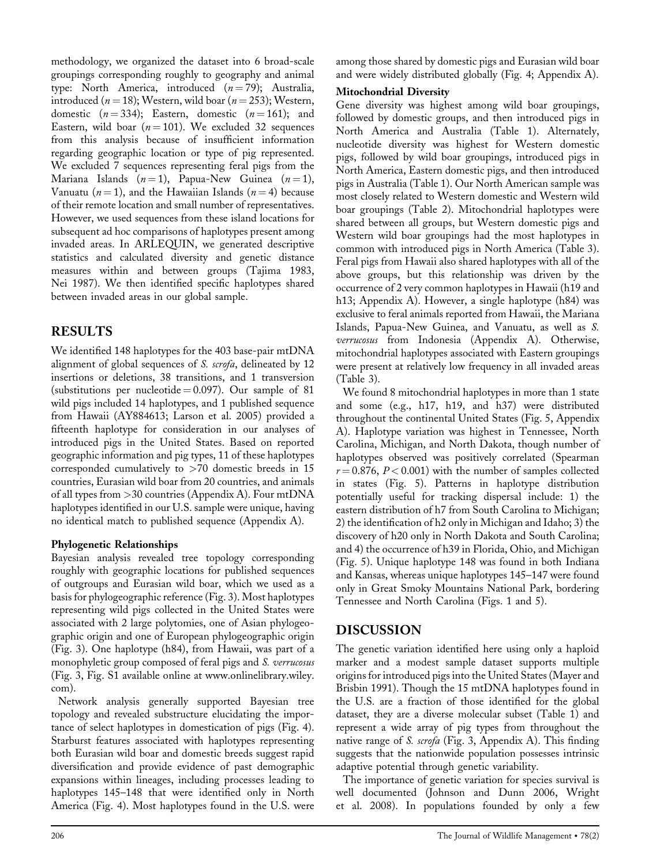methodology, we organized the dataset into 6 broad-scale groupings corresponding roughly to geography and animal type: North America, introduced  $(n=79)$ ; Australia, introduced ( $n = 18$ ); Western, wild boar ( $n = 253$ ); Western, domestic  $(n = 334)$ ; Eastern, domestic  $(n = 161)$ ; and Eastern, wild boar ( $n = 101$ ). We excluded 32 sequences from this analysis because of insufficient information regarding geographic location or type of pig represented. We excluded 7 sequences representing feral pigs from the Mariana Islands  $(n = 1)$ , Papua-New Guinea  $(n = 1)$ , Vanuatu ( $n = 1$ ), and the Hawaiian Islands ( $n = 4$ ) because of their remote location and small number of representatives. However, we used sequences from these island locations for subsequent ad hoc comparisons of haplotypes present among invaded areas. In ARLEQUIN, we generated descriptive statistics and calculated diversity and genetic distance measures within and between groups (Tajima 1983, Nei 1987). We then identified specific haplotypes shared between invaded areas in our global sample.

## RESULTS

We identified 148 haplotypes for the 403 base-pair mtDNA alignment of global sequences of *S. scrofa*, delineated by 12 insertions or deletions, 38 transitions, and 1 transversion (substitutions per nucleotide  $= 0.097$ ). Our sample of 81 wild pigs included 14 haplotypes, and 1 published sequence from Hawaii (AY884613; Larson et al. 2005) provided a fifteenth haplotype for consideration in our analyses of introduced pigs in the United States. Based on reported geographic information and pig types, 11 of these haplotypes corresponded cumulatively to >70 domestic breeds in 15 countries, Eurasian wild boar from 20 countries, and animals of all types from >30 countries (Appendix A). Four mtDNA haplotypes identified in our U.S. sample were unique, having no identical match to published sequence (Appendix A).

## Phylogenetic Relationships

Bayesian analysis revealed tree topology corresponding roughly with geographic locations for published sequences of outgroups and Eurasian wild boar, which we used as a basis for phylogeographic reference (Fig. 3). Most haplotypes representing wild pigs collected in the United States were associated with 2 large polytomies, one of Asian phylogeographic origin and one of European phylogeographic origin (Fig. 3). One haplotype (h84), from Hawaii, was part of a monophyletic group composed of feral pigs and S. verrucosus (Fig. 3, Fig. S1 available online at [www.onlinelibrary.wiley.](http://www.onlinelibrary.wiley.com/) [com\)](http://www.onlinelibrary.wiley.com/).

Network analysis generally supported Bayesian tree topology and revealed substructure elucidating the importance of select haplotypes in domestication of pigs (Fig. 4). Starburst features associated with haplotypes representing both Eurasian wild boar and domestic breeds suggest rapid diversification and provide evidence of past demographic expansions within lineages, including processes leading to haplotypes 145–148 that were identified only in North America (Fig. 4). Most haplotypes found in the U.S. were

### Mitochondrial Diversity

Gene diversity was highest among wild boar groupings, followed by domestic groups, and then introduced pigs in North America and Australia (Table 1). Alternately, nucleotide diversity was highest for Western domestic pigs, followed by wild boar groupings, introduced pigs in North America, Eastern domestic pigs, and then introduced pigs in Australia (Table 1). Our North American sample was most closely related to Western domestic and Western wild boar groupings (Table 2). Mitochondrial haplotypes were shared between all groups, but Western domestic pigs and Western wild boar groupings had the most haplotypes in common with introduced pigs in North America (Table 3). Feral pigs from Hawaii also shared haplotypes with all of the above groups, but this relationship was driven by the occurrence of 2 very common haplotypes in Hawaii (h19 and h13; Appendix A). However, a single haplotype (h84) was exclusive to feral animals reported from Hawaii, the Mariana Islands, Papua-New Guinea, and Vanuatu, as well as S. verrucosus from Indonesia (Appendix A). Otherwise, mitochondrial haplotypes associated with Eastern groupings were present at relatively low frequency in all invaded areas (Table 3).

We found 8 mitochondrial haplotypes in more than 1 state and some (e.g., h17, h19, and h37) were distributed throughout the continental United States (Fig. 5, Appendix A). Haplotype variation was highest in Tennessee, North Carolina, Michigan, and North Dakota, though number of haplotypes observed was positively correlated (Spearman  $r = 0.876$ ,  $P < 0.001$ ) with the number of samples collected in states (Fig. 5). Patterns in haplotype distribution potentially useful for tracking dispersal include: 1) the eastern distribution of h7 from South Carolina to Michigan; 2) the identification of h2 only in Michigan and Idaho; 3) the discovery of h20 only in North Dakota and South Carolina; and 4) the occurrence of h39 in Florida, Ohio, and Michigan (Fig. 5). Unique haplotype 148 was found in both Indiana and Kansas, whereas unique haplotypes 145–147 were found only in Great Smoky Mountains National Park, bordering Tennessee and North Carolina (Figs. 1 and 5).

## DISCUSSION

The genetic variation identified here using only a haploid marker and a modest sample dataset supports multiple origins for introduced pigs into the United States (Mayer and Brisbin 1991). Though the 15 mtDNA haplotypes found in the U.S. are a fraction of those identified for the global dataset, they are a diverse molecular subset (Table 1) and represent a wide array of pig types from throughout the native range of *S. scrofa* (Fig. 3, Appendix A). This finding suggests that the nationwide population possesses intrinsic adaptive potential through genetic variability.

The importance of genetic variation for species survival is well documented (Johnson and Dunn 2006, Wright et al. 2008). In populations founded by only a few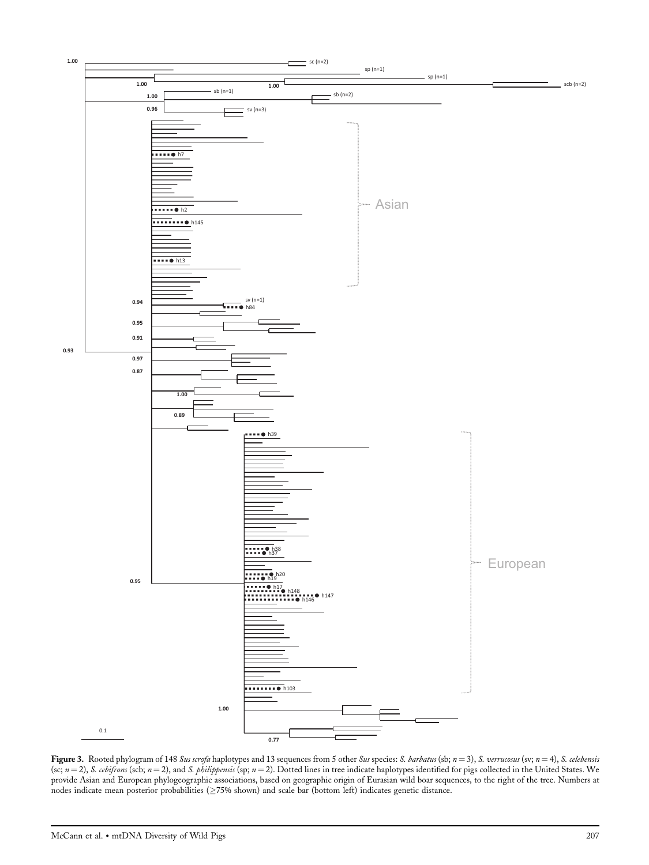

Figure 3. Rooted phylogram of 148 Sus scrofa haplotypes and 13 sequences from 5 other Sus species: S. barbatus (sb;  $n = 3$ ), S. verrucosus (sv;  $n = 4$ ), S. celebensis (sc;  $n = 2$ ), S. cebifrons (scb;  $n = 2$ ), and S. philippensis (sp;  $n = 2$ ). Dotted lines in tree indicate haplotypes identified for pigs collected in the United States. We provide Asian and European phylogeographic associations, based on geographic origin of Eurasian wild boar sequences, to the right of the tree. Numbers at nodes indicate mean posterior probabilities ( $\geq 75\%$  shown) and scale bar (bottom left) indicates genetic distance.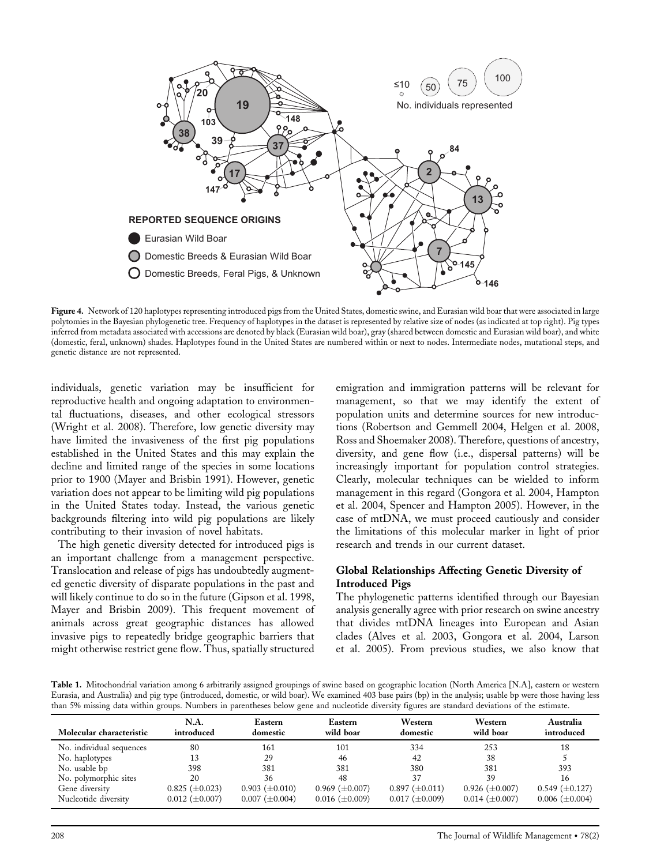

Figure 4. Network of 120 haplotypes representing introduced pigs from the United States, domestic swine, and Eurasian wild boar that were associated in large polytomies in the Bayesian phylogenetic tree. Frequency of haplotypes in the dataset is represented by relative size of nodes (as indicated at top right). Pig types inferred from metadata associated with accessions are denoted by black (Eurasian wild boar), gray (shared between domestic and Eurasian wild boar), and white (domestic, feral, unknown) shades. Haplotypes found in the United States are numbered within or next to nodes. Intermediate nodes, mutational steps, and genetic distance are not represented.

individuals, genetic variation may be insufficient for reproductive health and ongoing adaptation to environmental fluctuations, diseases, and other ecological stressors (Wright et al. 2008). Therefore, low genetic diversity may have limited the invasiveness of the first pig populations established in the United States and this may explain the decline and limited range of the species in some locations prior to 1900 (Mayer and Brisbin 1991). However, genetic variation does not appear to be limiting wild pig populations in the United States today. Instead, the various genetic backgrounds filtering into wild pig populations are likely contributing to their invasion of novel habitats.

The high genetic diversity detected for introduced pigs is an important challenge from a management perspective. Translocation and release of pigs has undoubtedly augmented genetic diversity of disparate populations in the past and will likely continue to do so in the future (Gipson et al. 1998, Mayer and Brisbin 2009). This frequent movement of animals across great geographic distances has allowed invasive pigs to repeatedly bridge geographic barriers that might otherwise restrict gene flow. Thus, spatially structured emigration and immigration patterns will be relevant for management, so that we may identify the extent of population units and determine sources for new introductions (Robertson and Gemmell 2004, Helgen et al. 2008, Ross and Shoemaker 2008). Therefore, questions of ancestry, diversity, and gene flow (i.e., dispersal patterns) will be increasingly important for population control strategies. Clearly, molecular techniques can be wielded to inform management in this regard (Gongora et al. 2004, Hampton et al. 2004, Spencer and Hampton 2005). However, in the case of mtDNA, we must proceed cautiously and consider the limitations of this molecular marker in light of prior research and trends in our current dataset.

#### Global Relationships Affecting Genetic Diversity of Introduced Pigs

The phylogenetic patterns identified through our Bayesian analysis generally agree with prior research on swine ancestry that divides mtDNA lineages into European and Asian clades (Alves et al. 2003, Gongora et al. 2004, Larson et al. 2005). From previous studies, we also know that

Table 1. Mitochondrial variation among 6 arbitrarily assigned groupings of swine based on geographic location (North America [N.A], eastern or western Eurasia, and Australia) and pig type (introduced, domestic, or wild boar). We examined 403 base pairs (bp) in the analysis; usable bp were those having less than 5% missing data within groups. Numbers in parentheses below gene and nucleotide diversity figures are standard deviations of the estimate.

| Molecular characteristic | N.A.<br>introduced    | Eastern<br>domestic   | Eastern<br>wild boar  | Western<br>domestic   | Western<br>wild boar  | Australia<br>introduced |
|--------------------------|-----------------------|-----------------------|-----------------------|-----------------------|-----------------------|-------------------------|
| No. individual sequences | 80                    | 161                   | 101                   | 334                   | 253                   | 18                      |
| No. haplotypes           |                       | 29                    | 46                    | 42                    | 38                    |                         |
| No. usable bp            | 398                   | 381                   | 381                   | 380                   | 381                   | 393                     |
| No. polymorphic sites    | 20                    | 36                    | 48                    | 37                    | 39                    | 16                      |
| Gene diversity           | $0.825 \ (\pm 0.023)$ | $0.903 \ (\pm 0.010)$ | $0.969 \ (\pm 0.007)$ | $0.897 \ (\pm 0.011)$ | $0.926 \ (\pm 0.007)$ | $0.549 \ (\pm 0.127)$   |
| Nucleotide diversity     | $0.012 \ (\pm 0.007)$ | $0.007 \ (\pm 0.004)$ | $0.016 \ (\pm 0.009)$ | $0.017 \ (\pm 0.009)$ | $0.014 \ (\pm 0.007)$ | $0.006 \ (\pm 0.004)$   |
|                          |                       |                       |                       |                       |                       |                         |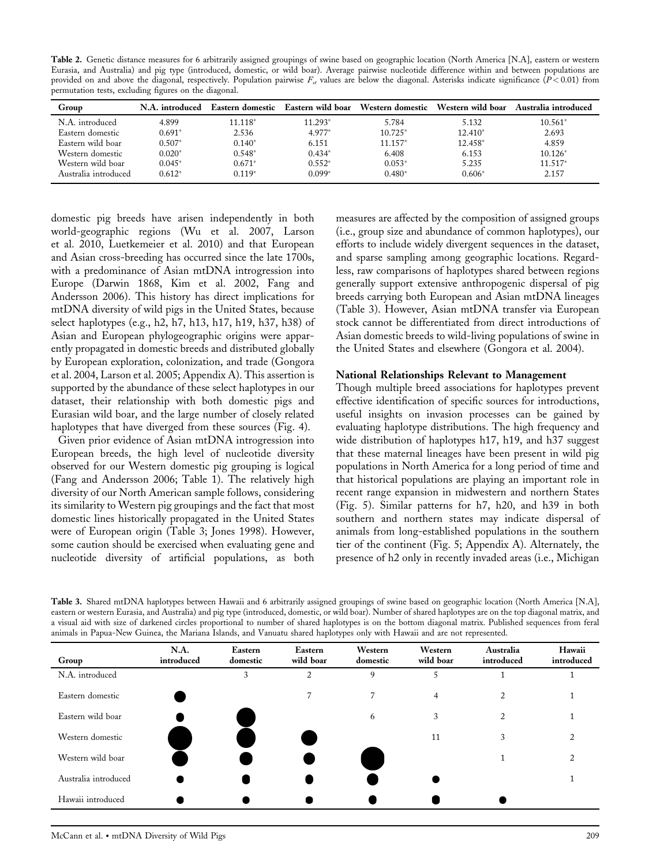Table 2. Genetic distance measures for 6 arbitrarily assigned groupings of swine based on geographic location (North America [N.A], eastern or western Eurasia, and Australia) and pig type (introduced, domestic, or wild boar). Average pairwise nucleotide difference within and between populations are provided on and above the diagonal, respectively. Population pairwise  $F_{st}$  values are below the diagonal. Asterisks indicate significance ( $P < 0.01$ ) from permutation tests, excluding figures on the diagonal.

| Group                | N.A. introduced |          |          | Eastern domestic Eastern wild boar Western domestic | Western wild boar | Australia introduced |
|----------------------|-----------------|----------|----------|-----------------------------------------------------|-------------------|----------------------|
| N.A. introduced      | 4.899           | 11.118*  | 11.293*  | 5.784                                               | 5.132             | $10.561*$            |
| Eastern domestic     | $0.691*$        | 2.536    | 4.977*   | $10.725*$                                           | $12.410*$         | 2.693                |
| Eastern wild boar    | $0.507*$        | $0.140*$ | 6.151    | $11.157*$                                           | 12.458*           | 4.859                |
| Western domestic     | $0.020*$        | $0.548*$ | $0.434*$ | 6.408                                               | 6.153             | $10.126*$            |
| Western wild boar    | $0.045*$        | $0.671*$ | $0.552*$ | $0.053*$                                            | 5.235             | 11.517*              |
| Australia introduced | $0.612*$        | $0.119*$ | $0.099*$ | $0.480*$                                            | $0.606*$          | 2.157                |

domestic pig breeds have arisen independently in both world-geographic regions (Wu et al. 2007, Larson et al. 2010, Luetkemeier et al. 2010) and that European and Asian cross-breeding has occurred since the late 1700s, with a predominance of Asian mtDNA introgression into Europe (Darwin 1868, Kim et al. 2002, Fang and Andersson 2006). This history has direct implications for mtDNA diversity of wild pigs in the United States, because select haplotypes (e.g., h2, h7, h13, h17, h19, h37, h38) of Asian and European phylogeographic origins were apparently propagated in domestic breeds and distributed globally by European exploration, colonization, and trade (Gongora et al. 2004, Larson et al. 2005; Appendix A). This assertion is supported by the abundance of these select haplotypes in our dataset, their relationship with both domestic pigs and Eurasian wild boar, and the large number of closely related haplotypes that have diverged from these sources (Fig. 4).

Given prior evidence of Asian mtDNA introgression into European breeds, the high level of nucleotide diversity observed for our Western domestic pig grouping is logical (Fang and Andersson 2006; Table 1). The relatively high diversity of our North American sample follows, considering its similarity to Western pig groupings and the fact that most domestic lines historically propagated in the United States were of European origin (Table 3; Jones 1998). However, some caution should be exercised when evaluating gene and nucleotide diversity of artificial populations, as both

measures are affected by the composition of assigned groups (i.e., group size and abundance of common haplotypes), our efforts to include widely divergent sequences in the dataset, and sparse sampling among geographic locations. Regardless, raw comparisons of haplotypes shared between regions generally support extensive anthropogenic dispersal of pig breeds carrying both European and Asian mtDNA lineages (Table 3). However, Asian mtDNA transfer via European stock cannot be differentiated from direct introductions of Asian domestic breeds to wild-living populations of swine in the United States and elsewhere (Gongora et al. 2004).

#### National Relationships Relevant to Management

Though multiple breed associations for haplotypes prevent effective identification of specific sources for introductions, useful insights on invasion processes can be gained by evaluating haplotype distributions. The high frequency and wide distribution of haplotypes h17, h19, and h37 suggest that these maternal lineages have been present in wild pig populations in North America for a long period of time and that historical populations are playing an important role in recent range expansion in midwestern and northern States (Fig. 5). Similar patterns for h7, h20, and h39 in both southern and northern states may indicate dispersal of animals from long-established populations in the southern tier of the continent (Fig. 5; Appendix A). Alternately, the presence of h2 only in recently invaded areas (i.e., Michigan

Table 3. Shared mtDNA haplotypes between Hawaii and 6 arbitrarily assigned groupings of swine based on geographic location (North America [N.A], eastern or western Eurasia, and Australia) and pig type (introduced, domestic, or wild boar). Number of shared haplotypes are on the top diagonal matrix, and a visual aid with size of darkened circles proportional to number of shared haplotypes is on the bottom diagonal matrix. Published sequences from feral animals in Papua-New Guinea, the Mariana Islands, and Vanuatu shared haplotypes only with Hawaii and are not represented.

| Group                | N.A.<br>introduced | Eastern<br>domestic | Eastern<br>wild boar | Western<br>domestic | Western<br>wild boar | Australia<br>introduced | Hawaii<br>introduced |
|----------------------|--------------------|---------------------|----------------------|---------------------|----------------------|-------------------------|----------------------|
| N.A. introduced      |                    | 3                   | 2                    | 9                   | 5                    |                         |                      |
| Eastern domestic     |                    |                     |                      | 7                   | $\overline{4}$       | 2                       |                      |
| Eastern wild boar    |                    |                     |                      | 6                   | 3                    | 2                       |                      |
| Western domestic     |                    |                     |                      |                     | 11                   | 3                       |                      |
| Western wild boar    |                    |                     |                      |                     |                      |                         |                      |
| Australia introduced |                    |                     |                      |                     |                      |                         |                      |
| Hawaii introduced    |                    |                     |                      |                     |                      |                         |                      |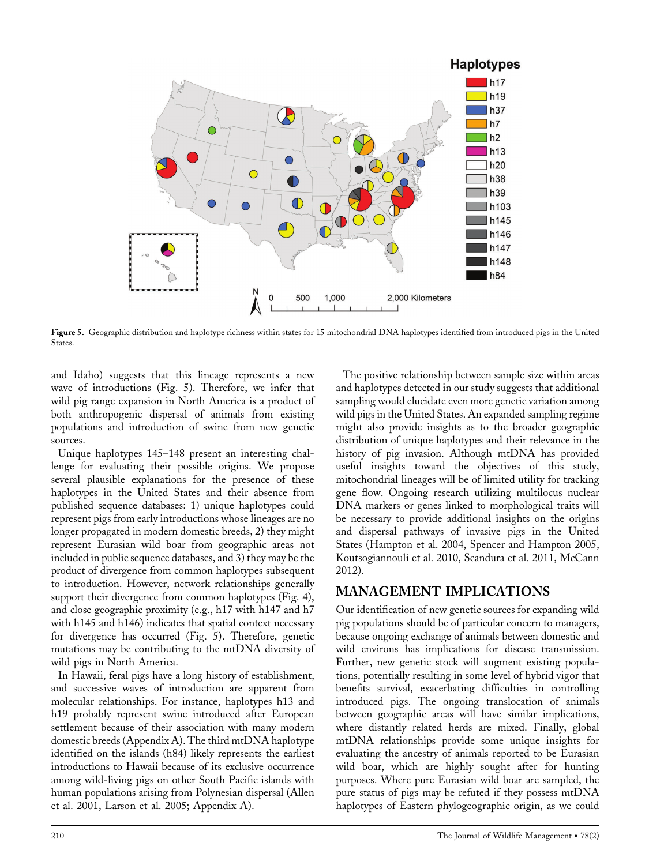

Figure 5. Geographic distribution and haplotype richness within states for 15 mitochondrial DNA haplotypes identified from introduced pigs in the United States.

and Idaho) suggests that this lineage represents a new wave of introductions (Fig. 5). Therefore, we infer that wild pig range expansion in North America is a product of both anthropogenic dispersal of animals from existing populations and introduction of swine from new genetic sources.

Unique haplotypes 145–148 present an interesting challenge for evaluating their possible origins. We propose several plausible explanations for the presence of these haplotypes in the United States and their absence from published sequence databases: 1) unique haplotypes could represent pigs from early introductions whose lineages are no longer propagated in modern domestic breeds, 2) they might represent Eurasian wild boar from geographic areas not included in public sequence databases, and 3) they may be the product of divergence from common haplotypes subsequent to introduction. However, network relationships generally support their divergence from common haplotypes (Fig. 4), and close geographic proximity (e.g., h17 with h147 and h7 with h145 and h146) indicates that spatial context necessary for divergence has occurred (Fig. 5). Therefore, genetic mutations may be contributing to the mtDNA diversity of wild pigs in North America.

In Hawaii, feral pigs have a long history of establishment, and successive waves of introduction are apparent from molecular relationships. For instance, haplotypes h13 and h19 probably represent swine introduced after European settlement because of their association with many modern domestic breeds (Appendix A). The third mtDNA haplotype identified on the islands (h84) likely represents the earliest introductions to Hawaii because of its exclusive occurrence among wild-living pigs on other South Pacific islands with human populations arising from Polynesian dispersal (Allen et al. 2001, Larson et al. 2005; Appendix A).

The positive relationship between sample size within areas and haplotypes detected in our study suggests that additional sampling would elucidate even more genetic variation among wild pigs in the United States. An expanded sampling regime might also provide insights as to the broader geographic distribution of unique haplotypes and their relevance in the history of pig invasion. Although mtDNA has provided useful insights toward the objectives of this study, mitochondrial lineages will be of limited utility for tracking gene flow. Ongoing research utilizing multilocus nuclear DNA markers or genes linked to morphological traits will be necessary to provide additional insights on the origins and dispersal pathways of invasive pigs in the United States (Hampton et al. 2004, Spencer and Hampton 2005, Koutsogiannouli et al. 2010, Scandura et al. 2011, McCann 2012).

## MANAGEMENT IMPLICATIONS

Our identification of new genetic sources for expanding wild pig populations should be of particular concern to managers, because ongoing exchange of animals between domestic and wild environs has implications for disease transmission. Further, new genetic stock will augment existing populations, potentially resulting in some level of hybrid vigor that benefits survival, exacerbating difficulties in controlling introduced pigs. The ongoing translocation of animals between geographic areas will have similar implications, where distantly related herds are mixed. Finally, global mtDNA relationships provide some unique insights for evaluating the ancestry of animals reported to be Eurasian wild boar, which are highly sought after for hunting purposes. Where pure Eurasian wild boar are sampled, the pure status of pigs may be refuted if they possess mtDNA haplotypes of Eastern phylogeographic origin, as we could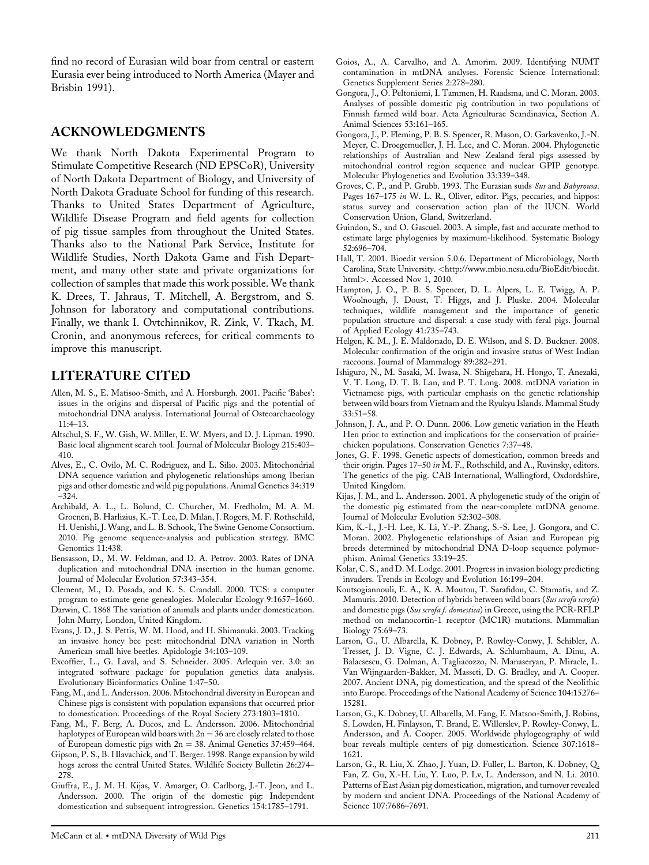find no record of Eurasian wild boar from central or eastern Eurasia ever being introduced to North America (Mayer and Brisbin 1991).

#### ACKNOWLEDGMENTS

We thank North Dakota Experimental Program to Stimulate Competitive Research (ND EPSCoR), University of North Dakota Department of Biology, and University of North Dakota Graduate School for funding of this research. Thanks to United States Department of Agriculture, Wildlife Disease Program and field agents for collection of pig tissue samples from throughout the United States. Thanks also to the National Park Service, Institute for Wildlife Studies, North Dakota Game and Fish Department, and many other state and private organizations for collection of samples that made this work possible. We thank K. Drees, T. Jahraus, T. Mitchell, A. Bergstrom, and S. Johnson for laboratory and computational contributions. Finally, we thank I. Ovtchinnikov, R. Zink, V. Tkach, M. Cronin, and anonymous referees, for critical comments to improve this manuscript.

#### LITERATURE CITED

- Allen, M. S., E. Matisoo-Smith, and A. Horsburgh. 2001. Pacific 'Babes': issues in the origins and dispersal of Pacific pigs and the potential of mitochondrial DNA analysis. International Journal of Osteoarchaeology  $11:4-13$ .
- Altschul, S. F., W. Gish, W. Miller, E. W. Myers, and D. J. Lipman. 1990. Basic local alignment search tool. Journal of Molecular Biology 215:403– 410.
- Alves, E., C. Ovilo, M. C. Rodriguez, and L. Silio. 2003. Mitochondrial DNA sequence variation and phylogenetic relationships among Iberian pigs and other domestic and wild pig populations. Animal Genetics 34:319 –324.
- Archibald, A. L., L. Bolund, C. Churcher, M. Fredholm, M. A. M. Groenen, B. Harlizius, K.-T. Lee, D. Milan, J. Rogers, M. F. Rothschild, H. Uenishi, J. Wang, and L. B. Schook, The Swine Genome Consortium. 2010. Pig genome sequence-analysis and publication strategy. BMC Genomics 11:438.
- Bensasson, D., M. W. Feldman, and D. A. Petrov. 2003. Rates of DNA duplication and mitochondrial DNA insertion in the human genome. Journal of Molecular Evolution 57:343–354.
- Clement, M., D. Posada, and K. S. Crandall. 2000. TCS: a computer program to estimate gene genealogies. Molecular Ecology 9:1657–1660.
- Darwin, C. 1868 The variation of animals and plants under domestication. John Murry, London, United Kingdom.
- Evans, J. D., J. S. Pettis, W. M. Hood, and H. Shimanuki. 2003. Tracking an invasive honey bee pest: mitochondrial DNA variation in North American small hive beetles. Apidologie 34:103–109.
- Excoffier, L., G. Laval, and S. Schneider. 2005. Arlequin ver. 3.0: an integrated software package for population genetics data analysis. Evolutionary Bioinformatics Online 1:47–50.
- Fang, M., and L. Andersson. 2006. Mitochondrial diversity in European and Chinese pigs is consistent with population expansions that occurred prior to domestication. Proceedings of the Royal Society 273:1803–1810.
- Fang, M., F. Berg, A. Ducos, and L. Andersson. 2006. Mitochondrial haplotypes of European wild boars with  $2n = 36$  are closely related to those of European domestic pigs with  $2n = 38$ . Animal Genetics 37:459–464.
- Gipson, P. S., B. Hlavachick, and T. Berger. 1998. Range expansion by wild hogs across the central United States. Wildlife Society Bulletin 26:274– 278.
- Giuffra, E., J. M. H. Kijas, V. Amarger, O. Carlborg, J.-T. Jeon, and L. Andersson. 2000. The origin of the domestic pig: Independent domestication and subsequent introgression. Genetics 154:1785–1791.
- Goios, A., A. Carvalho, and A. Amorim. 2009. Identifying NUMT contamination in mtDNA analyses. Forensic Science International: Genetics Supplement Series 2:278–280.
- Gongora, J., O. Peltoniemi, I. Tammen, H. Raadsma, and C. Moran. 2003. Analyses of possible domestic pig contribution in two populations of Finnish farmed wild boar. Acta Agriculturae Scandinavica, Section A. Animal Sciences 53:161–165.
- Gongora, J., P. Fleming, P. B. S. Spencer, R. Mason, O. Garkavenko, J.-N. Meyer, C. Droegemueller, J. H. Lee, and C. Moran. 2004. Phylogenetic relationships of Australian and New Zealand feral pigs assessed by mitochondrial control region sequence and nuclear GPIP genotype. Molecular Phylogenetics and Evolution 33:339–348.
- Groves, C. P., and P. Grubb. 1993. The Eurasian suids Sus and Babyrousa. Pages 167-175 in W. L. R., Oliver, editor. Pigs, peccaries, and hippos: status survey and conservation action plan of the IUCN. World Conservation Union, Gland, Switzerland.
- Guindon, S., and O. Gascuel. 2003. A simple, fast and accurate method to estimate large phylogenies by maximum-likelihood. Systematic Biology 52:696–704.
- Hall, T. 2001. Bioedit version 5.0.6. Department of Microbiology, North Carolina, State University. <[http://www.mbio.ncsu.edu/BioEdit/bioedit.](http://www.mbio.ncsu.edu/BioEdit/bioedit.html) [html](http://www.mbio.ncsu.edu/BioEdit/bioedit.html)>. Accessed Nov 1, 2010.
- Hampton, J. O., P. B. S. Spencer, D. L. Alpers, L. E. Twigg, A. P. Woolnough, J. Doust, T. Higgs, and J. Pluske. 2004. Molecular techniques, wildlife management and the importance of genetic population structure and dispersal: a case study with feral pigs. Journal of Applied Ecology 41:735–743.
- Helgen, K. M., J. E. Maldonado, D. E. Wilson, and S. D. Buckner. 2008. Molecular confirmation of the origin and invasive status of West Indian raccoons. Journal of Mammalogy 89:282–291.
- Ishiguro, N., M. Sasaki, M. Iwasa, N. Shigehara, H. Hongo, T. Anezaki, V. T. Long, D. T. B. Lan, and P. T. Long. 2008. mtDNA variation in Vietnamese pigs, with particular emphasis on the genetic relationship between wild boars from Vietnam and the Ryukyu Islands. Mammal Study 33:51–58.
- Johnson, J. A., and P. O. Dunn. 2006. Low genetic variation in the Heath Hen prior to extinction and implications for the conservation of prairiechicken populations. Conservation Genetics 7:37–48.
- Jones, G. F. 1998. Genetic aspects of domestication, common breeds and their origin. Pages 17–50 in M. F., Rothschild, and A., Ruvinsky, editors. The genetics of the pig. CAB International, Wallingford, Oxdordshire, United Kingdom.
- Kijas, J. M., and L. Andersson. 2001. A phylogenetic study of the origin of the domestic pig estimated from the near-complete mtDNA genome. Journal of Molecular Evolution 52:302–308.
- Kim, K.-I., J.-H. Lee, K. Li, Y.-P. Zhang, S.-S. Lee, J. Gongora, and C. Moran. 2002. Phylogenetic relationships of Asian and European pig breeds determined by mitochondrial DNA D-loop sequence polymorphism. Animal Genetics 33:19–25.
- Kolar, C. S., and D. M. Lodge. 2001. Progress in invasion biology predicting invaders. Trends in Ecology and Evolution 16:199–204.
- Koutsogiannouli, E. A., K. A. Moutou, T. Sarafidou, C. Stamatis, and Z. Mamuris. 2010. Detection of hybrids between wild boars (Sus scrofa scrofa) and domestic pigs (Sus scrofa f. domestica) in Greece, using the PCR-RFLP method on melanocortin-1 receptor (MC1R) mutations. Mammalian Biology 75:69–73.
- Larson, G., U. Albarella, K. Dobney, P. Rowley-Conwy, J. Schibler, A. Tresset, J. D. Vigne, C. J. Edwards, A. Schlumbaum, A. Dinu, A. Balacsescu, G. Dolman, A. Tagliacozzo, N. Manaseryan, P. Miracle, L. Van Wijngaarden-Bakker, M. Masseti, D. G. Bradley, and A. Cooper. 2007. Ancient DNA, pig domestication, and the spread of the Neolithic into Europe. Proceedings of the National Academy of Science 104:15276– 15281.
- Larson, G., K. Dobney, U. Albarella, M. Fang, E. Matsoo-Smith, J. Robins, S. Lowden, H. Finlayson, T. Brand, E. Willerslev, P. Rowley-Conwy, L. Andersson, and A. Cooper. 2005. Worldwide phylogeography of wild boar reveals multiple centers of pig domestication. Science 307:1618– 1621.
- Larson, G., R. Liu, X. Zhao, J. Yuan, D. Fuller, L. Barton, K. Dobney, Q. Fan, Z. Gu, X.-H. Liu, Y. Luo, P. Lv, L. Andersson, and N. Li. 2010. Patterns of East Asian pig domestication, migration, and turnover revealed by modern and ancient DNA. Proceedings of the National Academy of Science 107:7686–7691.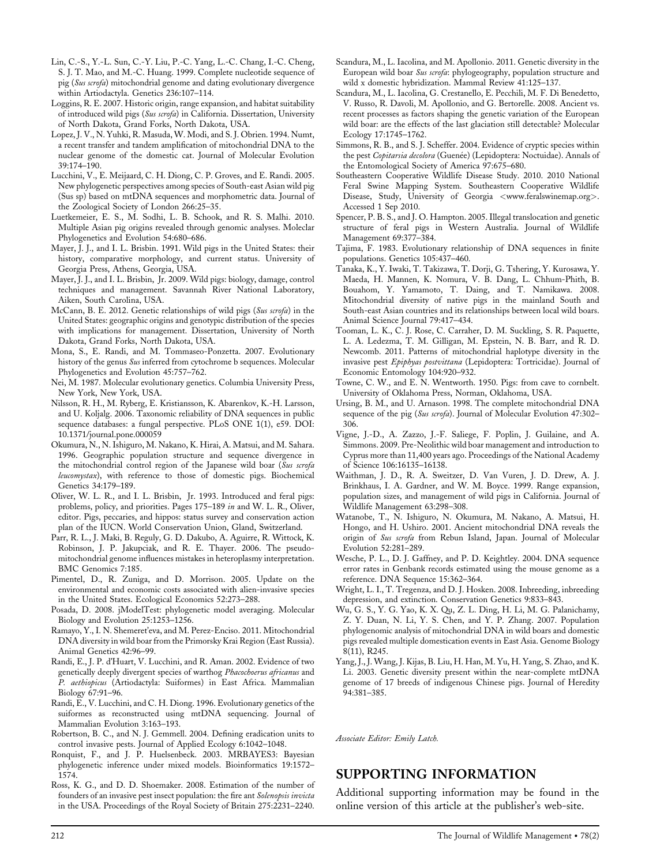- Lin, C.-S., Y.-L. Sun, C.-Y. Liu, P.-C. Yang, L.-C. Chang, I.-C. Cheng, S. J. T. Mao, and M.-C. Huang. 1999. Complete nucleotide sequence of pig (Sus scrofa) mitochondrial genome and dating evolutionary divergence within Artiodactyla. Genetics 236:107–114.
- Loggins, R. E. 2007. Historic origin, range expansion, and habitat suitability of introduced wild pigs (Sus scrofa) in California. Dissertation, University of North Dakota, Grand Forks, North Dakota, USA.
- Lopez, J. V., N. Yuhki, R. Masuda, W. Modi, and S. J. Obrien. 1994. Numt, a recent transfer and tandem amplification of mitochondrial DNA to the nuclear genome of the domestic cat. Journal of Molecular Evolution 39:174–190.
- Lucchini, V., E. Meijaard, C. H. Diong, C. P. Groves, and E. Randi. 2005. New phylogenetic perspectives among species of South-east Asian wild pig (Sus sp) based on mtDNA sequences and morphometric data. Journal of the Zoological Society of London 266:25–35.
- Luetkemeier, E. S., M. Sodhi, L. B. Schook, and R. S. Malhi. 2010. Multiple Asian pig origins revealed through genomic analyses. Moleclar Phylogenetics and Evolution 54:680–686.
- Mayer, J. J., and I. L. Brisbin. 1991. Wild pigs in the United States: their history, comparative morphology, and current status. University of Georgia Press, Athens, Georgia, USA.
- Mayer, J. J., and I. L. Brisbin, Jr. 2009. Wild pigs: biology, damage, control techniques and management. Savannah River National Laboratory, Aiken, South Carolina, USA.
- McCann, B. E. 2012. Genetic relationships of wild pigs (Sus scrofa) in the United States: geographic origins and genotypic distribution of the species with implications for management. Dissertation, University of North Dakota, Grand Forks, North Dakota, USA.
- Mona, S., E. Randi, and M. Tommaseo-Ponzetta. 2007. Evolutionary history of the genus Sus inferred from cytochrome b sequences. Molecular Phylogenetics and Evolution 45:757–762.
- Nei, M. 1987. Molecular evolutionary genetics. Columbia University Press, New York, New York, USA.
- Nilsson, R. H., M. Ryberg, E. Kristiansson, K. Abarenkov, K.-H. Larsson, and U. Koljalg. 2006. Taxonomic reliability of DNA sequences in public sequence databases: a fungal perspective. PLoS ONE 1(1), e59. DOI: 10.1371/journal.pone.000059
- Okumura, N., N. Ishiguro, M. Nakano, K. Hirai, A. Matsui, and M. Sahara. 1996. Geographic population structure and sequence divergence in the mitochondrial control region of the Japanese wild boar (Sus scrofa leucomystax), with reference to those of domestic pigs. Biochemical Genetics 34:179–189.
- Oliver, W. L. R., and I. L. Brisbin, Jr. 1993. Introduced and feral pigs: problems, policy, and priorities. Pages 175–189 in and W. L. R., Oliver, editor. Pigs, peccaries, and hippos: status survey and conservation action plan of the IUCN. World Conservation Union, Gland, Switzerland.
- Parr, R. L., J. Maki, B. Reguly, G. D. Dakubo, A. Aguirre, R. Wittock, K. Robinson, J. P. Jakupciak, and R. E. Thayer. 2006. The pseudomitochondrial genome influences mistakes in heteroplasmy interpretation. BMC Genomics 7:185.
- Pimentel, D., R. Zuniga, and D. Morrison. 2005. Update on the environmental and economic costs associated with alien-invasive species in the United States. Ecological Economics 52:273–288.
- Posada, D. 2008. jModelTest: phylogenetic model averaging. Molecular Biology and Evolution 25:1253–1256.
- Ramayo, Y., I. N. Shemeret'eva, and M. Perez-Enciso. 2011. Mitochondrial DNA diversity in wild boar from the Primorsky Krai Region (East Russia). Animal Genetics 42:96–99.
- Randi, E., J. P. d'Huart, V. Lucchini, and R. Aman. 2002. Evidence of two genetically deeply divergent species of warthog Phacochoerus africanus and P. aethiopicus (Artiodactyla: Suiformes) in East Africa. Mammalian Biology 67:91–96.
- Randi, E., V. Lucchini, and C. H. Diong. 1996. Evolutionary genetics of the suiformes as reconstructed using mtDNA sequencing. Journal of Mammalian Evolution 3:163–193.
- Robertson, B. C., and N. J. Gemmell. 2004. Defining eradication units to control invasive pests. Journal of Applied Ecology 6:1042–1048.
- Ronquist, F., and J. P. Huelsenbeck. 2003. MRBAYES3: Bayesian phylogenetic inference under mixed models. Bioinformatics 19:1572– 1574.
- Ross, K. G., and D. D. Shoemaker. 2008. Estimation of the number of founders of an invasive pest insect population: the fire ant Solenopsis invicta in the USA. Proceedings of the Royal Society of Britain 275:2231–2240.
- Scandura, M., L. Iacolina, and M. Apollonio. 2011. Genetic diversity in the European wild boar Sus scrofa: phylogeography, population structure and wild x domestic hybridization. Mammal Review 41:125–137.
- Scandura, M., L. Iacolina, G. Crestanello, E. Pecchili, M. F. Di Benedetto, V. Russo, R. Davoli, M. Apollonio, and G. Bertorelle. 2008. Ancient vs. recent processes as factors shaping the genetic variation of the European wild boar: are the effects of the last glaciation still detectable? Molecular Ecology 17:1745–1762.
- Simmons, R. B., and S. J. Scheffer. 2004. Evidence of cryptic species within the pest Copitarsia decolora (Guenée) (Lepidoptera: Noctuidae). Annals of the Entomological Society of America 97:675–680.
- Southeastern Cooperative Wildlife Disease Study. 2010. 2010 National Feral Swine Mapping System. Southeastern Cooperative Wildlife Disease, Study, University of Georgia <[www.feralswinemap.org](http://www.feralswinemap.org)>. Accessed 1 Sep 2010.
- Spencer, P. B. S., and J. O. Hampton. 2005. Illegal translocation and genetic structure of feral pigs in Western Australia. Journal of Wildlife Management 69:377–384.
- Tajima, F. 1983. Evolutionary relationship of DNA sequences in finite populations. Genetics 105:437–460.
- Tanaka, K., Y. Iwaki, T. Takizawa, T. Dorji, G. Tshering, Y. Kurosawa, Y. Maeda, H. Mannen, K. Nomura, V. B. Dang, L. Chhum-Phith, B. Bouahom, Y. Yamamoto, T. Daing, and T. Namikawa. 2008. Mitochondrial diversity of native pigs in the mainland South and South-east Asian countries and its relationships between local wild boars. Animal Science Journal 79:417–434.
- Tooman, L. K., C. J. Rose, C. Carraher, D. M. Suckling, S. R. Paquette, L. A. Ledezma, T. M. Gilligan, M. Epstein, N. B. Barr, and R. D. Newcomb. 2011. Patterns of mitochondrial haplotype diversity in the invasive pest Epiphyas postvittana (Lepidoptera: Tortricidae). Journal of Economic Entomology 104:920–932.
- Towne, C. W., and E. N. Wentworth. 1950. Pigs: from cave to cornbelt. University of Oklahoma Press, Norman, Oklahoma, USA.
- Ursing, B. M., and U. Arnason. 1998. The complete mitochondrial DNA sequence of the pig (Sus scrofa). Journal of Molecular Evolution 47:302-306.
- Vigne, J.-D., A. Zazzo, J.-F. Saliege, F. Poplin, J. Guilaine, and A. Simmons. 2009. Pre-Neolithic wild boar management and introduction to Cyprus more than 11,400 years ago. Proceedings of the National Academy of Science 106:16135–16138.
- Waithman, J. D., R. A. Sweitzer, D. Van Vuren, J. D. Drew, A. J. Brinkhaus, I. A. Gardner, and W. M. Boyce. 1999. Range expansion, population sizes, and management of wild pigs in California. Journal of Wildlife Management 63:298–308.
- Watanobe, T., N. Ishiguro, N. Okumura, M. Nakano, A. Matsui, H. Hongo, and H. Ushiro. 2001. Ancient mitochondrial DNA reveals the origin of Sus scrofa from Rebun Island, Japan. Journal of Molecular Evolution 52:281–289.
- Wesche, P. L., D. J. Gaffney, and P. D. Keightley. 2004. DNA sequence error rates in Genbank records estimated using the mouse genome as a reference. DNA Sequence 15:362–364.
- Wright, L. I., T. Tregenza, and D. J. Hosken. 2008. Inbreeding, inbreeding depression, and extinction. Conservation Genetics 9:833–843.
- Wu, G. S., Y. G. Yao, K. X. Qu, Z. L. Ding, H. Li, M. G. Palanichamy, Z. Y. Duan, N. Li, Y. S. Chen, and Y. P. Zhang. 2007. Population phylogenomic analysis of mitochondrial DNA in wild boars and domestic pigs revealed multiple domestication events in East Asia. Genome Biology 8(11), R245.
- Yang, J., J. Wang, J. Kijas, B. Liu, H. Han, M. Yu, H. Yang, S. Zhao, and K. Li. 2003. Genetic diversity present within the near-complete mtDNA genome of 17 breeds of indigenous Chinese pigs. Journal of Heredity 94:381–385.

Associate Editor: Emily Latch.

## SUPPORTING INFORMATION

Additional supporting information may be found in the online version of this article at the publisher's web-site.